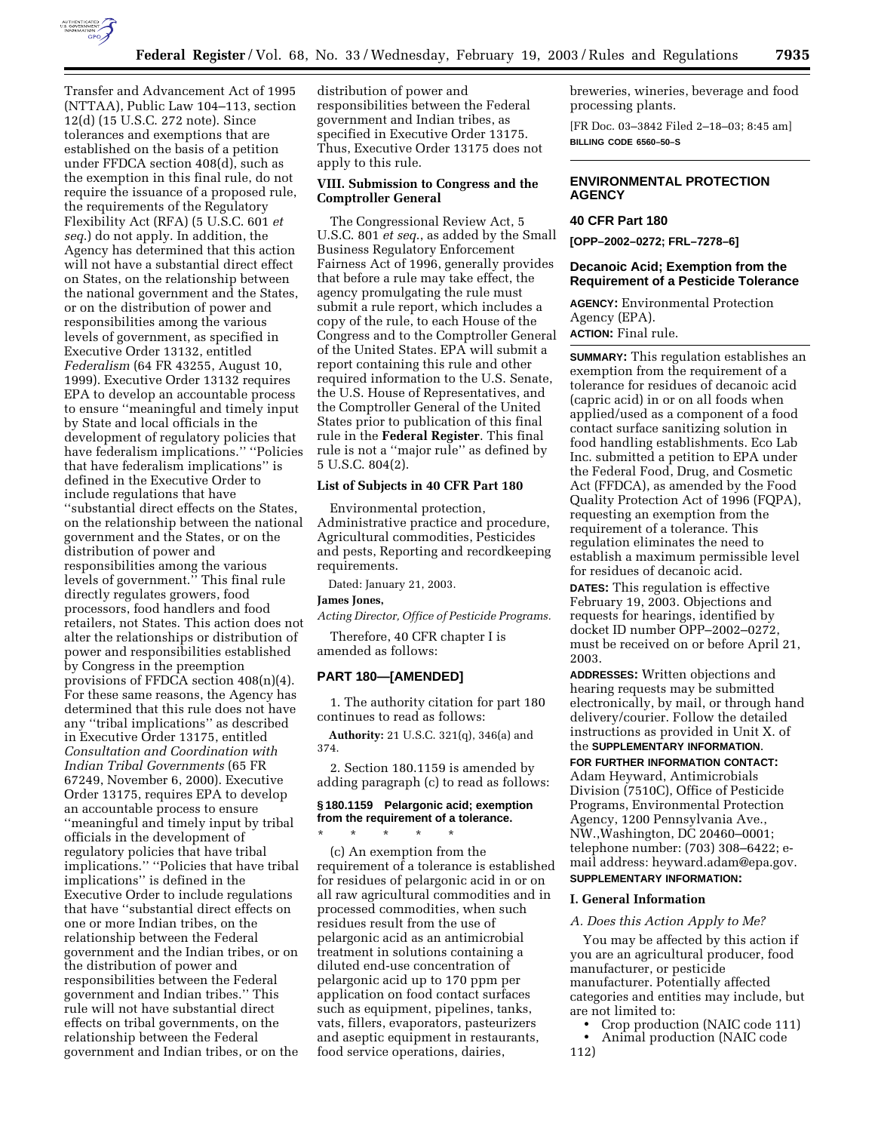

Transfer and Advancement Act of 1995 (NTTAA), Public Law 104–113, section 12(d) (15 U.S.C. 272 note). Since tolerances and exemptions that are established on the basis of a petition under FFDCA section 408(d), such as the exemption in this final rule, do not require the issuance of a proposed rule, the requirements of the Regulatory Flexibility Act (RFA) (5 U.S.C. 601 *et seq*.) do not apply. In addition, the Agency has determined that this action will not have a substantial direct effect on States, on the relationship between the national government and the States, or on the distribution of power and responsibilities among the various levels of government, as specified in Executive Order 13132, entitled *Federalism* (64 FR 43255, August 10, 1999). Executive Order 13132 requires EPA to develop an accountable process to ensure ''meaningful and timely input by State and local officials in the development of regulatory policies that have federalism implications.'' ''Policies that have federalism implications'' is defined in the Executive Order to include regulations that have ''substantial direct effects on the States, on the relationship between the national government and the States, or on the distribution of power and responsibilities among the various levels of government.'' This final rule directly regulates growers, food processors, food handlers and food retailers, not States. This action does not alter the relationships or distribution of power and responsibilities established by Congress in the preemption provisions of FFDCA section 408(n)(4). For these same reasons, the Agency has determined that this rule does not have any ''tribal implications'' as described in Executive Order 13175, entitled *Consultation and Coordination with Indian Tribal Governments* (65 FR 67249, November 6, 2000). Executive Order 13175, requires EPA to develop an accountable process to ensure ''meaningful and timely input by tribal officials in the development of regulatory policies that have tribal implications.'' ''Policies that have tribal implications'' is defined in the Executive Order to include regulations that have ''substantial direct effects on one or more Indian tribes, on the relationship between the Federal government and the Indian tribes, or on the distribution of power and responsibilities between the Federal government and Indian tribes.'' This rule will not have substantial direct effects on tribal governments, on the relationship between the Federal government and Indian tribes, or on the

distribution of power and responsibilities between the Federal government and Indian tribes, as specified in Executive Order 13175. Thus, Executive Order 13175 does not apply to this rule.

# **VIII. Submission to Congress and the Comptroller General**

The Congressional Review Act, 5 U.S.C. 801 *et seq*., as added by the Small Business Regulatory Enforcement Fairness Act of 1996, generally provides that before a rule may take effect, the agency promulgating the rule must submit a rule report, which includes a copy of the rule, to each House of the Congress and to the Comptroller General of the United States. EPA will submit a report containing this rule and other required information to the U.S. Senate, the U.S. House of Representatives, and the Comptroller General of the United States prior to publication of this final rule in the **Federal Register**. This final rule is not a ''major rule'' as defined by 5 U.S.C. 804(2).

#### **List of Subjects in 40 CFR Part 180**

Environmental protection, Administrative practice and procedure, Agricultural commodities, Pesticides and pests, Reporting and recordkeeping requirements.

Dated: January 21, 2003.

#### **James Jones,**

*Acting Director, Office of Pesticide Programs.*

Therefore, 40 CFR chapter I is amended as follows:

# **PART 180—[AMENDED]**

\* \* \* \* \*

1. The authority citation for part 180 continues to read as follows:

**Authority:** 21 U.S.C. 321(q), 346(a) and 374.

2. Section 180.1159 is amended by adding paragraph (c) to read as follows:

# **§ 180.1159 Pelargonic acid; exemption from the requirement of a tolerance.**

(c) An exemption from the requirement of a tolerance is established for residues of pelargonic acid in or on all raw agricultural commodities and in processed commodities, when such residues result from the use of pelargonic acid as an antimicrobial treatment in solutions containing a diluted end-use concentration of pelargonic acid up to 170 ppm per application on food contact surfaces such as equipment, pipelines, tanks, vats, fillers, evaporators, pasteurizers and aseptic equipment in restaurants, food service operations, dairies,

breweries, wineries, beverage and food processing plants.

[FR Doc. 03–3842 Filed 2–18–03; 8:45 am] **BILLING CODE 6560–50–S**

# **ENVIRONMENTAL PROTECTION AGENCY**

# **40 CFR Part 180**

**[OPP–2002–0272; FRL–7278–6]** 

# **Decanoic Acid; Exemption from the Requirement of a Pesticide Tolerance**

**AGENCY:** Environmental Protection Agency (EPA). **ACTION:** Final rule.

**SUMMARY:** This regulation establishes an exemption from the requirement of a tolerance for residues of decanoic acid (capric acid) in or on all foods when applied/used as a component of a food contact surface sanitizing solution in food handling establishments. Eco Lab Inc. submitted a petition to EPA under the Federal Food, Drug, and Cosmetic Act (FFDCA), as amended by the Food Quality Protection Act of 1996 (FQPA), requesting an exemption from the requirement of a tolerance. This regulation eliminates the need to establish a maximum permissible level for residues of decanoic acid. **DATES:** This regulation is effective February 19, 2003. Objections and requests for hearings, identified by docket ID number OPP–2002–0272, must be received on or before April 21, 2003.

**ADDRESSES:** Written objections and hearing requests may be submitted electronically, by mail, or through hand delivery/courier. Follow the detailed instructions as provided in Unit X. of the **SUPPLEMENTARY INFORMATION**.

**FOR FURTHER INFORMATION CONTACT:** Adam Heyward, Antimicrobials Division (7510C), Office of Pesticide Programs, Environmental Protection Agency, 1200 Pennsylvania Ave., NW.,Washington, DC 20460–0001; telephone number: (703) 308–6422; email address: heyward.adam@epa.gov. **SUPPLEMENTARY INFORMATION:** 

#### **I. General Information**

## *A. Does this Action Apply to Me?*

You may be affected by this action if you are an agricultural producer, food manufacturer, or pesticide manufacturer. Potentially affected categories and entities may include, but are not limited to:

- Crop production (NAIC code 111) • Animal production (NAIC code
- 112)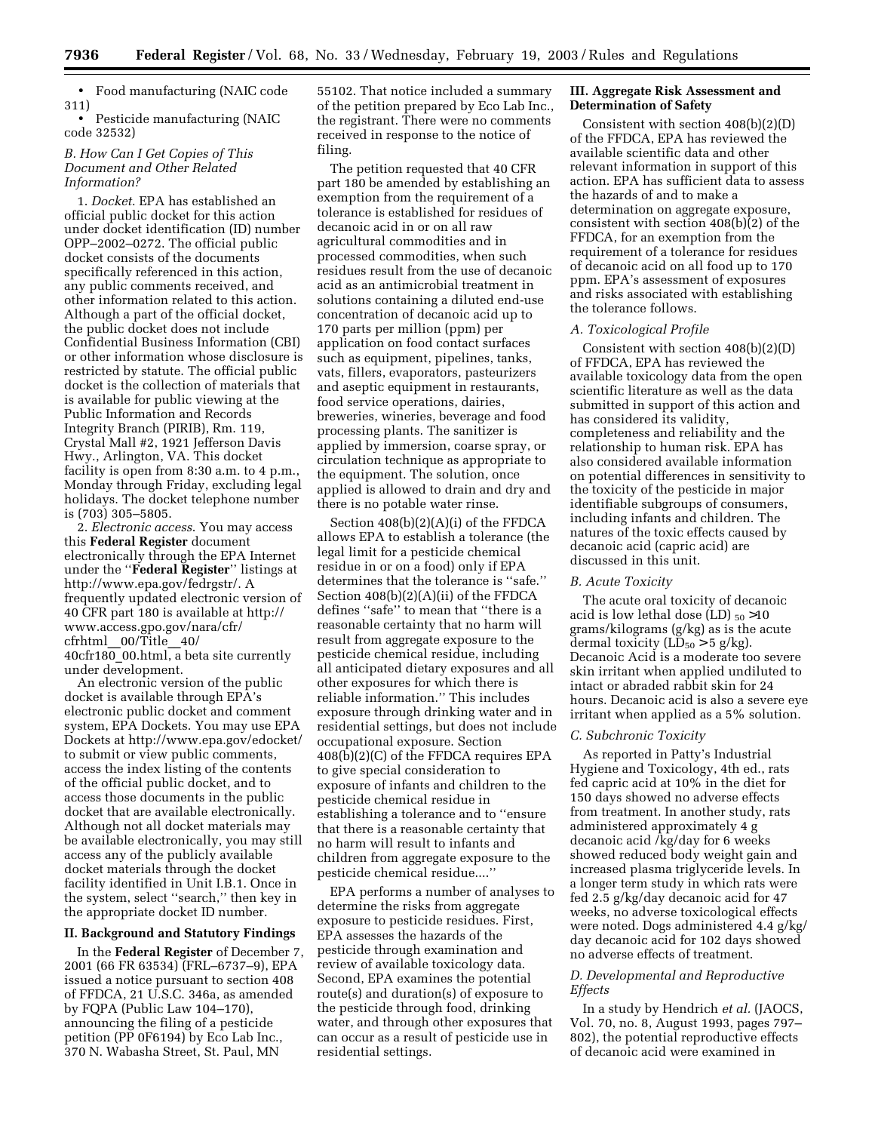• Food manufacturing (NAIC code 311)

• Pesticide manufacturing (NAIC code 32532)

# *B. How Can I Get Copies of This Document and Other Related Information?*

1. *Docket*. EPA has established an official public docket for this action under docket identification (ID) number OPP–2002–0272. The official public docket consists of the documents specifically referenced in this action, any public comments received, and other information related to this action. Although a part of the official docket, the public docket does not include Confidential Business Information (CBI) or other information whose disclosure is restricted by statute. The official public docket is the collection of materials that is available for public viewing at the Public Information and Records Integrity Branch (PIRIB), Rm. 119, Crystal Mall #2, 1921 Jefferson Davis Hwy., Arlington, VA. This docket facility is open from 8:30 a.m. to 4 p.m., Monday through Friday, excluding legal holidays. The docket telephone number is (703) 305–5805.

2. *Electronic access*. You may access this **Federal Register** document electronically through the EPA Internet under the ''**Federal Register**'' listings at http://www.epa.gov/fedrgstr/. A frequently updated electronic version of 40 CFR part 180 is available at http:// www.access.gpo.gov/nara/cfr/ cfrhtml\_\_00/Title\_\_40/ 40cfr180\_00.html, a beta site currently under development.

An electronic version of the public docket is available through EPA's electronic public docket and comment system, EPA Dockets. You may use EPA Dockets at http://www.epa.gov/edocket/ to submit or view public comments, access the index listing of the contents of the official public docket, and to access those documents in the public docket that are available electronically. Although not all docket materials may be available electronically, you may still access any of the publicly available docket materials through the docket facility identified in Unit I.B.1. Once in the system, select ''search,'' then key in the appropriate docket ID number.

# **II. Background and Statutory Findings**

In the **Federal Register** of December 7, 2001 (66 FR 63534) (FRL–6737–9), EPA issued a notice pursuant to section 408 of FFDCA, 21 U.S.C. 346a, as amended by FQPA (Public Law 104–170), announcing the filing of a pesticide petition (PP 0F6194) by Eco Lab Inc., 370 N. Wabasha Street, St. Paul, MN

55102. That notice included a summary of the petition prepared by Eco Lab Inc., the registrant. There were no comments received in response to the notice of filing.

The petition requested that 40 CFR part 180 be amended by establishing an exemption from the requirement of a tolerance is established for residues of decanoic acid in or on all raw agricultural commodities and in processed commodities, when such residues result from the use of decanoic acid as an antimicrobial treatment in solutions containing a diluted end-use concentration of decanoic acid up to 170 parts per million (ppm) per application on food contact surfaces such as equipment, pipelines, tanks, vats, fillers, evaporators, pasteurizers and aseptic equipment in restaurants, food service operations, dairies, breweries, wineries, beverage and food processing plants. The sanitizer is applied by immersion, coarse spray, or circulation technique as appropriate to the equipment. The solution, once applied is allowed to drain and dry and there is no potable water rinse.

Section 408(b)(2)(A)(i) of the FFDCA allows EPA to establish a tolerance (the legal limit for a pesticide chemical residue in or on a food) only if EPA determines that the tolerance is ''safe.'' Section 408(b)(2)(A)(ii) of the FFDCA defines ''safe'' to mean that ''there is a reasonable certainty that no harm will result from aggregate exposure to the pesticide chemical residue, including all anticipated dietary exposures and all other exposures for which there is reliable information.'' This includes exposure through drinking water and in residential settings, but does not include occupational exposure. Section 408(b)(2)(C) of the FFDCA requires EPA to give special consideration to exposure of infants and children to the pesticide chemical residue in establishing a tolerance and to ''ensure that there is a reasonable certainty that no harm will result to infants and children from aggregate exposure to the pesticide chemical residue....''

EPA performs a number of analyses to determine the risks from aggregate exposure to pesticide residues. First, EPA assesses the hazards of the pesticide through examination and review of available toxicology data. Second, EPA examines the potential route(s) and duration(s) of exposure to the pesticide through food, drinking water, and through other exposures that can occur as a result of pesticide use in residential settings.

# **III. Aggregate Risk Assessment and Determination of Safety**

Consistent with section 408(b)(2)(D) of the FFDCA, EPA has reviewed the available scientific data and other relevant information in support of this action. EPA has sufficient data to assess the hazards of and to make a determination on aggregate exposure, consistent with section 408(b)(2) of the FFDCA, for an exemption from the requirement of a tolerance for residues of decanoic acid on all food up to 170 ppm. EPA's assessment of exposures and risks associated with establishing the tolerance follows.

#### *A. Toxicological Profile*

Consistent with section 408(b)(2)(D) of FFDCA, EPA has reviewed the available toxicology data from the open scientific literature as well as the data submitted in support of this action and has considered its validity, completeness and reliability and the relationship to human risk. EPA has also considered available information on potential differences in sensitivity to the toxicity of the pesticide in major identifiable subgroups of consumers, including infants and children. The natures of the toxic effects caused by decanoic acid (capric acid) are discussed in this unit.

#### *B. Acute Toxicity*

The acute oral toxicity of decanoic acid is low lethal dose  $(LD)_{50} > 10$ grams/kilograms (g/kg) as is the acute dermal toxicity ( $LD_{50} > 5$  g/kg). Decanoic Acid is a moderate too severe skin irritant when applied undiluted to intact or abraded rabbit skin for 24 hours. Decanoic acid is also a severe eye irritant when applied as a 5% solution.

#### *C. Subchronic Toxicity*

As reported in Patty's Industrial Hygiene and Toxicology, 4th ed., rats fed capric acid at 10% in the diet for 150 days showed no adverse effects from treatment. In another study, rats administered approximately 4 g decanoic acid /kg/day for 6 weeks showed reduced body weight gain and increased plasma triglyceride levels. In a longer term study in which rats were fed 2.5 g/kg/day decanoic acid for 47 weeks, no adverse toxicological effects were noted. Dogs administered 4.4 g/kg/ day decanoic acid for 102 days showed no adverse effects of treatment.

# *D. Developmental and Reproductive Effects*

In a study by Hendrich *et al.* (JAOCS, Vol. 70, no. 8, August 1993, pages 797– 802), the potential reproductive effects of decanoic acid were examined in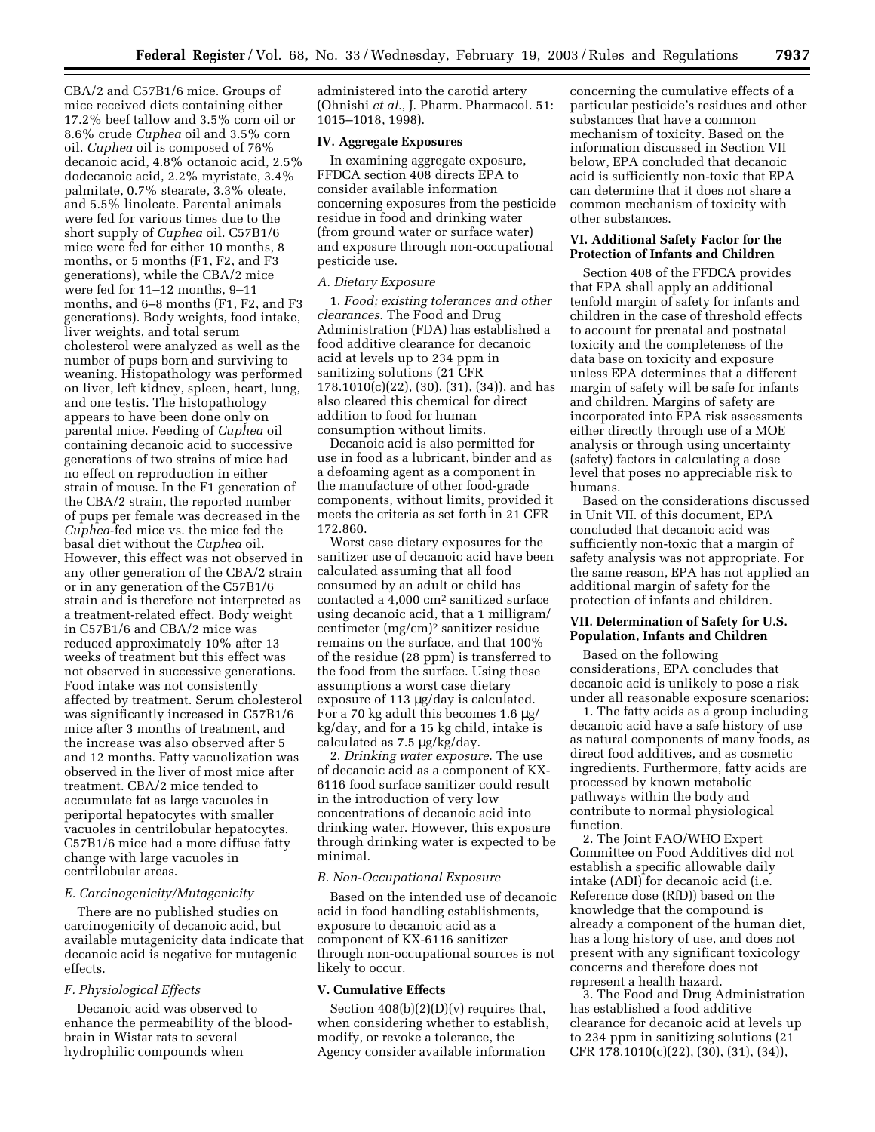CBA/2 and C57B1/6 mice. Groups of mice received diets containing either 17.2% beef tallow and 3.5% corn oil or 8.6% crude *Cuphea* oil and 3.5% corn oil. *Cuphea* oil is composed of 76% decanoic acid, 4.8% octanoic acid, 2.5% dodecanoic acid, 2.2% myristate, 3.4% palmitate, 0.7% stearate, 3.3% oleate, and 5.5% linoleate. Parental animals were fed for various times due to the short supply of *Cuphea* oil. C57B1/6 mice were fed for either 10 months, 8 months, or 5 months (F1, F2, and F3 generations), while the CBA/2 mice were fed for 11–12 months, 9–11 months, and 6–8 months (F1, F2, and F3 generations). Body weights, food intake, liver weights, and total serum cholesterol were analyzed as well as the number of pups born and surviving to weaning. Histopathology was performed on liver, left kidney, spleen, heart, lung, and one testis. The histopathology appears to have been done only on parental mice. Feeding of *Cuphea* oil containing decanoic acid to successive generations of two strains of mice had no effect on reproduction in either strain of mouse. In the F1 generation of the CBA/2 strain, the reported number of pups per female was decreased in the *Cuphea*-fed mice vs. the mice fed the basal diet without the *Cuphea* oil. However, this effect was not observed in any other generation of the CBA/2 strain or in any generation of the C57B1/6 strain and is therefore not interpreted as a treatment-related effect. Body weight in C57B1/6 and CBA/2 mice was reduced approximately 10% after 13 weeks of treatment but this effect was not observed in successive generations. Food intake was not consistently affected by treatment. Serum cholesterol was significantly increased in C57B1/6 mice after 3 months of treatment, and the increase was also observed after 5 and 12 months. Fatty vacuolization was observed in the liver of most mice after treatment. CBA/2 mice tended to accumulate fat as large vacuoles in periportal hepatocytes with smaller vacuoles in centrilobular hepatocytes. C57B1/6 mice had a more diffuse fatty change with large vacuoles in centrilobular areas.

## *E. Carcinogenicity/Mutagenicity*

There are no published studies on carcinogenicity of decanoic acid, but available mutagenicity data indicate that decanoic acid is negative for mutagenic effects.

#### *F. Physiological Effects*

Decanoic acid was observed to enhance the permeability of the bloodbrain in Wistar rats to several hydrophilic compounds when

administered into the carotid artery (Ohnishi *et al.*, J. Pharm. Pharmacol. 51: 1015–1018, 1998).

#### **IV. Aggregate Exposures**

In examining aggregate exposure, FFDCA section 408 directs EPA to consider available information concerning exposures from the pesticide residue in food and drinking water (from ground water or surface water) and exposure through non-occupational pesticide use.

#### *A. Dietary Exposure*

1. *Food; existing tolerances and other clearances*. The Food and Drug Administration (FDA) has established a food additive clearance for decanoic acid at levels up to 234 ppm in sanitizing solutions (21 CFR 178.1010(c)(22), (30), (31), (34)), and has also cleared this chemical for direct addition to food for human consumption without limits.

Decanoic acid is also permitted for use in food as a lubricant, binder and as a defoaming agent as a component in the manufacture of other food-grade components, without limits, provided it meets the criteria as set forth in 21 CFR 172.860.

Worst case dietary exposures for the sanitizer use of decanoic acid have been calculated assuming that all food consumed by an adult or child has contacted a 4,000 cm2 sanitized surface using decanoic acid, that a 1 milligram/ centimeter (mg/cm)2 sanitizer residue remains on the surface, and that 100% of the residue (28 ppm) is transferred to the food from the surface. Using these assumptions a worst case dietary exposure of 113 µg/day is calculated. For a 70 kg adult this becomes 1.6 µg/ kg/day, and for a 15 kg child, intake is calculated as 7.5 µg/kg/day.

2. *Drinking water exposure*. The use of decanoic acid as a component of KX-6116 food surface sanitizer could result in the introduction of very low concentrations of decanoic acid into drinking water. However, this exposure through drinking water is expected to be minimal.

#### *B. Non-Occupational Exposure*

Based on the intended use of decanoic acid in food handling establishments, exposure to decanoic acid as a component of KX-6116 sanitizer through non-occupational sources is not likely to occur.

#### **V. Cumulative Effects**

Section  $408(b)(2)(D)(v)$  requires that, when considering whether to establish, modify, or revoke a tolerance, the Agency consider available information

concerning the cumulative effects of a particular pesticide's residues and other substances that have a common mechanism of toxicity. Based on the information discussed in Section VII below, EPA concluded that decanoic acid is sufficiently non-toxic that EPA can determine that it does not share a common mechanism of toxicity with other substances.

#### **VI. Additional Safety Factor for the Protection of Infants and Children**

Section 408 of the FFDCA provides that EPA shall apply an additional tenfold margin of safety for infants and children in the case of threshold effects to account for prenatal and postnatal toxicity and the completeness of the data base on toxicity and exposure unless EPA determines that a different margin of safety will be safe for infants and children. Margins of safety are incorporated into EPA risk assessments either directly through use of a MOE analysis or through using uncertainty (safety) factors in calculating a dose level that poses no appreciable risk to humans.

Based on the considerations discussed in Unit VII. of this document, EPA concluded that decanoic acid was sufficiently non-toxic that a margin of safety analysis was not appropriate. For the same reason, EPA has not applied an additional margin of safety for the protection of infants and children.

# **VII. Determination of Safety for U.S. Population, Infants and Children**

Based on the following considerations, EPA concludes that decanoic acid is unlikely to pose a risk under all reasonable exposure scenarios:

1. The fatty acids as a group including decanoic acid have a safe history of use as natural components of many foods, as direct food additives, and as cosmetic ingredients. Furthermore, fatty acids are processed by known metabolic pathways within the body and contribute to normal physiological function.

2. The Joint FAO/WHO Expert Committee on Food Additives did not establish a specific allowable daily intake (ADI) for decanoic acid (i.e. Reference dose (RfD)) based on the knowledge that the compound is already a component of the human diet, has a long history of use, and does not present with any significant toxicology concerns and therefore does not represent a health hazard.

3. The Food and Drug Administration has established a food additive clearance for decanoic acid at levels up to 234 ppm in sanitizing solutions (21 CFR 178.1010(c)(22), (30), (31), (34)),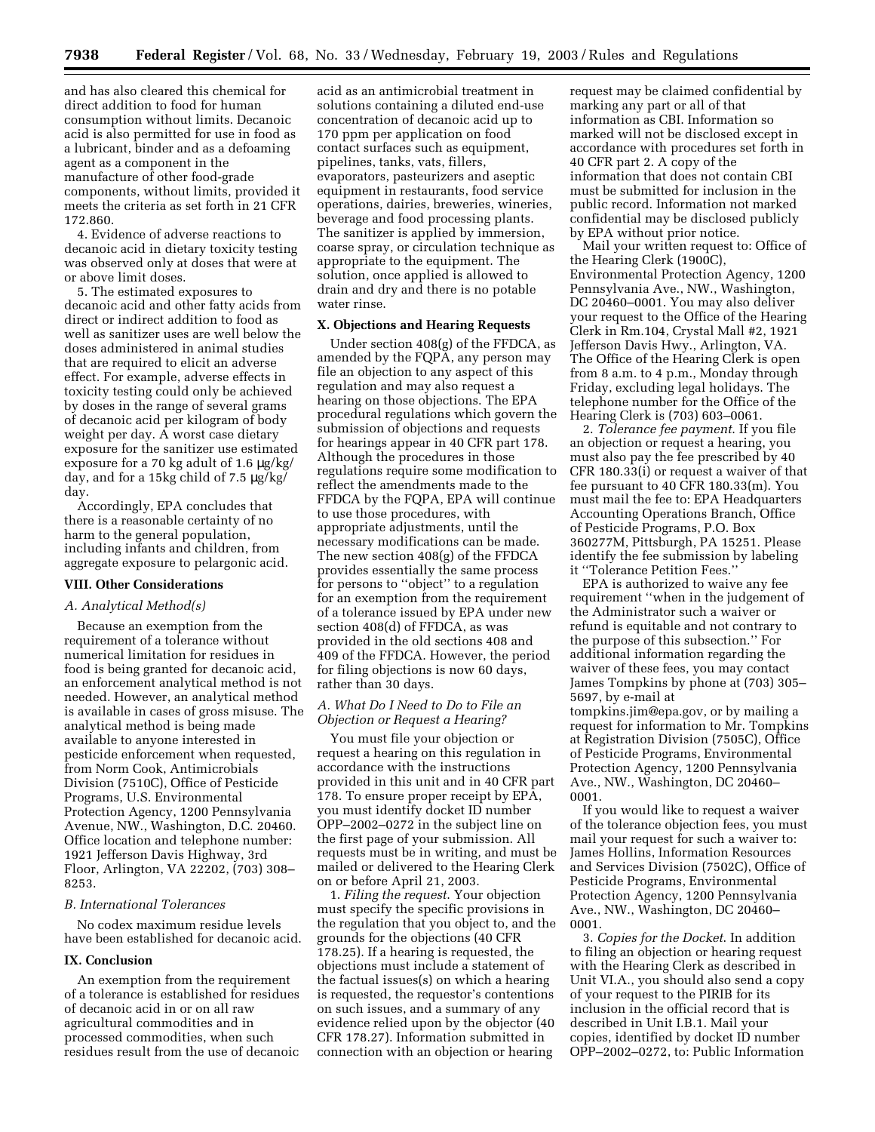and has also cleared this chemical for direct addition to food for human consumption without limits. Decanoic acid is also permitted for use in food as a lubricant, binder and as a defoaming agent as a component in the manufacture of other food-grade components, without limits, provided it meets the criteria as set forth in 21 CFR 172.860.

4. Evidence of adverse reactions to decanoic acid in dietary toxicity testing was observed only at doses that were at or above limit doses.

5. The estimated exposures to decanoic acid and other fatty acids from direct or indirect addition to food as well as sanitizer uses are well below the doses administered in animal studies that are required to elicit an adverse effect. For example, adverse effects in toxicity testing could only be achieved by doses in the range of several grams of decanoic acid per kilogram of body weight per day. A worst case dietary exposure for the sanitizer use estimated exposure for a 70 kg adult of 1.6 µg/kg/ day, and for a 15kg child of 7.5 µg/kg/ day.

Accordingly, EPA concludes that there is a reasonable certainty of no harm to the general population, including infants and children, from aggregate exposure to pelargonic acid.

# **VIII. Other Considerations**

### *A. Analytical Method(s)*

Because an exemption from the requirement of a tolerance without numerical limitation for residues in food is being granted for decanoic acid, an enforcement analytical method is not needed. However, an analytical method is available in cases of gross misuse. The analytical method is being made available to anyone interested in pesticide enforcement when requested, from Norm Cook, Antimicrobials Division (7510C), Office of Pesticide Programs, U.S. Environmental Protection Agency, 1200 Pennsylvania Avenue, NW., Washington, D.C. 20460. Office location and telephone number: 1921 Jefferson Davis Highway, 3rd Floor, Arlington, VA 22202, (703) 308– 8253.

#### *B. International Tolerances*

No codex maximum residue levels have been established for decanoic acid.

#### **IX. Conclusion**

An exemption from the requirement of a tolerance is established for residues of decanoic acid in or on all raw agricultural commodities and in processed commodities, when such residues result from the use of decanoic

acid as an antimicrobial treatment in solutions containing a diluted end-use concentration of decanoic acid up to 170 ppm per application on food contact surfaces such as equipment, pipelines, tanks, vats, fillers, evaporators, pasteurizers and aseptic equipment in restaurants, food service operations, dairies, breweries, wineries, beverage and food processing plants. The sanitizer is applied by immersion, coarse spray, or circulation technique as appropriate to the equipment. The solution, once applied is allowed to drain and dry and there is no potable water rinse.

## **X. Objections and Hearing Requests**

Under section 408(g) of the FFDCA, as amended by the FQPA, any person may file an objection to any aspect of this regulation and may also request a hearing on those objections. The EPA procedural regulations which govern the submission of objections and requests for hearings appear in 40 CFR part 178. Although the procedures in those regulations require some modification to reflect the amendments made to the FFDCA by the FQPA, EPA will continue to use those procedures, with appropriate adjustments, until the necessary modifications can be made. The new section 408(g) of the FFDCA provides essentially the same process for persons to ''object'' to a regulation for an exemption from the requirement of a tolerance issued by EPA under new section 408(d) of FFDCA, as was provided in the old sections 408 and 409 of the FFDCA. However, the period for filing objections is now 60 days, rather than 30 days.

# *A. What Do I Need to Do to File an Objection or Request a Hearing?*

You must file your objection or request a hearing on this regulation in accordance with the instructions provided in this unit and in 40 CFR part 178. To ensure proper receipt by EPA, you must identify docket ID number OPP–2002–0272 in the subject line on the first page of your submission. All requests must be in writing, and must be mailed or delivered to the Hearing Clerk on or before April 21, 2003.

1. *Filing the request*. Your objection must specify the specific provisions in the regulation that you object to, and the grounds for the objections (40 CFR 178.25). If a hearing is requested, the objections must include a statement of the factual issues(s) on which a hearing is requested, the requestor's contentions on such issues, and a summary of any evidence relied upon by the objector (40 CFR 178.27). Information submitted in connection with an objection or hearing

request may be claimed confidential by marking any part or all of that information as CBI. Information so marked will not be disclosed except in accordance with procedures set forth in 40 CFR part 2. A copy of the information that does not contain CBI must be submitted for inclusion in the public record. Information not marked confidential may be disclosed publicly by EPA without prior notice.

Mail your written request to: Office of the Hearing Clerk (1900C), Environmental Protection Agency, 1200 Pennsylvania Ave., NW., Washington, DC 20460–0001. You may also deliver your request to the Office of the Hearing Clerk in Rm.104, Crystal Mall #2, 1921 Jefferson Davis Hwy., Arlington, VA. The Office of the Hearing Clerk is open from 8 a.m. to 4 p.m., Monday through Friday, excluding legal holidays. The telephone number for the Office of the Hearing Clerk is (703) 603–0061.

2. *Tolerance fee payment*. If you file an objection or request a hearing, you must also pay the fee prescribed by 40 CFR 180.33(i) or request a waiver of that fee pursuant to 40 CFR 180.33(m). You must mail the fee to: EPA Headquarters Accounting Operations Branch, Office of Pesticide Programs, P.O. Box 360277M, Pittsburgh, PA 15251. Please identify the fee submission by labeling it ''Tolerance Petition Fees.''

EPA is authorized to waive any fee requirement ''when in the judgement of the Administrator such a waiver or refund is equitable and not contrary to the purpose of this subsection.'' For additional information regarding the waiver of these fees, you may contact James Tompkins by phone at (703) 305– 5697, by e-mail at tompkins.jim@epa.gov, or by mailing a request for information to Mr. Tompkins

at Registration Division (7505C), Office of Pesticide Programs, Environmental Protection Agency, 1200 Pennsylvania Ave., NW., Washington, DC 20460– 0001.

If you would like to request a waiver of the tolerance objection fees, you must mail your request for such a waiver to: James Hollins, Information Resources and Services Division (7502C), Office of Pesticide Programs, Environmental Protection Agency, 1200 Pennsylvania Ave., NW., Washington, DC 20460– 0001.

3. *Copies for the Docket*. In addition to filing an objection or hearing request with the Hearing Clerk as described in Unit VI.A., you should also send a copy of your request to the PIRIB for its inclusion in the official record that is described in Unit I.B.1. Mail your copies, identified by docket ID number OPP–2002–0272, to: Public Information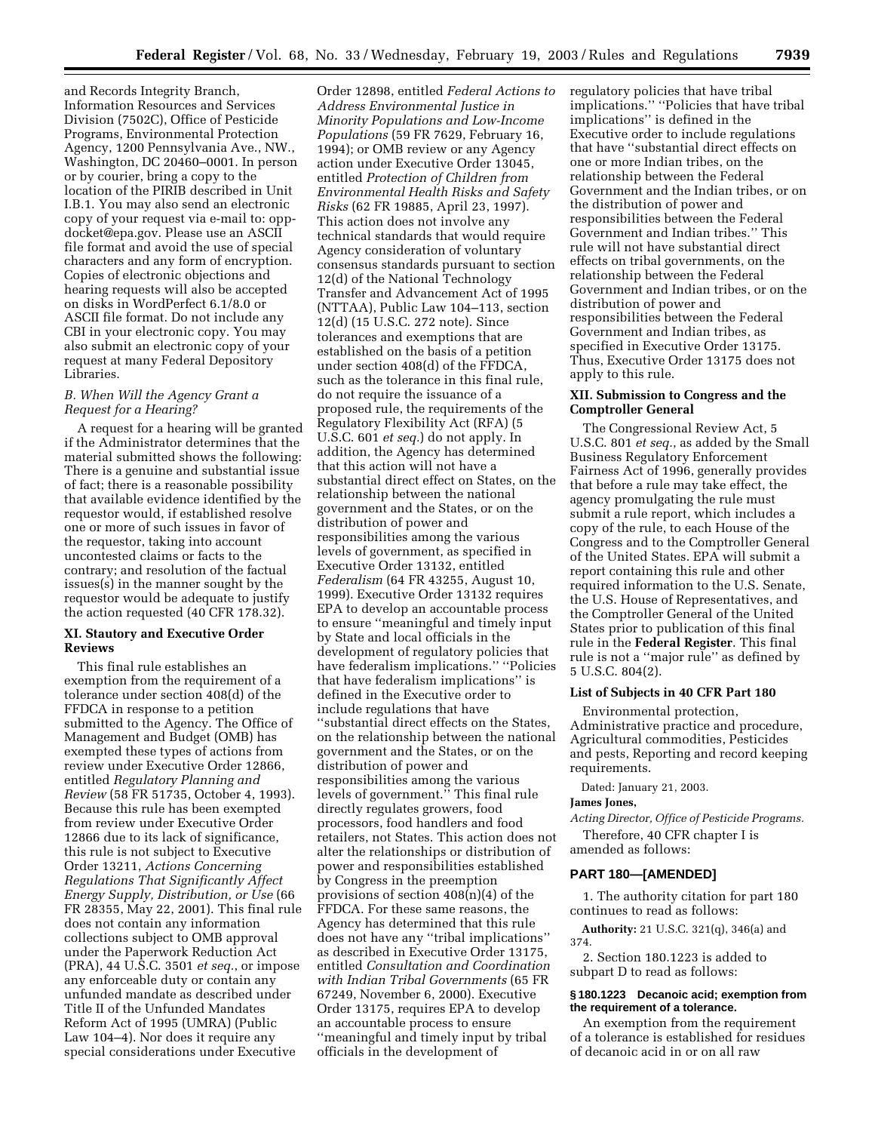and Records Integrity Branch, Information Resources and Services Division (7502C), Office of Pesticide Programs, Environmental Protection Agency, 1200 Pennsylvania Ave., NW., Washington, DC 20460–0001. In person or by courier, bring a copy to the location of the PIRIB described in Unit I.B.1. You may also send an electronic copy of your request via e-mail to: oppdocket@epa.gov. Please use an ASCII file format and avoid the use of special characters and any form of encryption. Copies of electronic objections and hearing requests will also be accepted on disks in WordPerfect 6.1/8.0 or ASCII file format. Do not include any CBI in your electronic copy. You may also submit an electronic copy of your request at many Federal Depository Libraries.

# *B. When Will the Agency Grant a Request for a Hearing?*

A request for a hearing will be granted if the Administrator determines that the material submitted shows the following: There is a genuine and substantial issue of fact; there is a reasonable possibility that available evidence identified by the requestor would, if established resolve one or more of such issues in favor of the requestor, taking into account uncontested claims or facts to the contrary; and resolution of the factual issues(s) in the manner sought by the requestor would be adequate to justify the action requested (40 CFR 178.32).

# **XI. Stautory and Executive Order Reviews**

This final rule establishes an exemption from the requirement of a tolerance under section 408(d) of the FFDCA in response to a petition submitted to the Agency. The Office of Management and Budget (OMB) has exempted these types of actions from review under Executive Order 12866, entitled *Regulatory Planning and Review* (58 FR 51735, October 4, 1993). Because this rule has been exempted from review under Executive Order 12866 due to its lack of significance, this rule is not subject to Executive Order 13211, *Actions Concerning Regulations That Significantly Affect Energy Supply, Distribution, or Use* (66 FR 28355, May 22, 2001). This final rule does not contain any information collections subject to OMB approval under the Paperwork Reduction Act (PRA), 44 U.S.C. 3501 *et seq.*, or impose any enforceable duty or contain any unfunded mandate as described under Title II of the Unfunded Mandates Reform Act of 1995 (UMRA) (Public Law 104–4). Nor does it require any special considerations under Executive

Order 12898, entitled *Federal Actions to Address Environmental Justice in Minority Populations and Low-Income Populations* (59 FR 7629, February 16, 1994); or OMB review or any Agency action under Executive Order 13045, entitled *Protection of Children from Environmental Health Risks and Safety Risks* (62 FR 19885, April 23, 1997). This action does not involve any technical standards that would require Agency consideration of voluntary consensus standards pursuant to section 12(d) of the National Technology Transfer and Advancement Act of 1995 (NTTAA), Public Law 104–113, section 12(d) (15 U.S.C. 272 note). Since tolerances and exemptions that are established on the basis of a petition under section 408(d) of the FFDCA, such as the tolerance in this final rule, do not require the issuance of a proposed rule, the requirements of the Regulatory Flexibility Act (RFA) (5 U.S.C. 601 *et seq.*) do not apply. In addition, the Agency has determined that this action will not have a substantial direct effect on States, on the relationship between the national government and the States, or on the distribution of power and responsibilities among the various levels of government, as specified in Executive Order 13132, entitled *Federalism* (64 FR 43255, August 10, 1999). Executive Order 13132 requires EPA to develop an accountable process to ensure ''meaningful and timely input by State and local officials in the development of regulatory policies that have federalism implications.'' ''Policies that have federalism implications'' is defined in the Executive order to include regulations that have ''substantial direct effects on the States, on the relationship between the national government and the States, or on the distribution of power and responsibilities among the various levels of government.'' This final rule directly regulates growers, food processors, food handlers and food retailers, not States. This action does not alter the relationships or distribution of power and responsibilities established by Congress in the preemption provisions of section  $408(n)(4)$  of the FFDCA. For these same reasons, the Agency has determined that this rule does not have any ''tribal implications'' as described in Executive Order 13175, entitled *Consultation and Coordination with Indian Tribal Governments* (65 FR 67249, November 6, 2000). Executive Order 13175, requires EPA to develop an accountable process to ensure ''meaningful and timely input by tribal officials in the development of

regulatory policies that have tribal implications.'' ''Policies that have tribal implications'' is defined in the Executive order to include regulations that have ''substantial direct effects on one or more Indian tribes, on the relationship between the Federal Government and the Indian tribes, or on the distribution of power and responsibilities between the Federal Government and Indian tribes.'' This rule will not have substantial direct effects on tribal governments, on the relationship between the Federal Government and Indian tribes, or on the distribution of power and responsibilities between the Federal Government and Indian tribes, as specified in Executive Order 13175. Thus, Executive Order 13175 does not apply to this rule.

# **XII. Submission to Congress and the Comptroller General**

The Congressional Review Act, 5 U.S.C. 801 *et seq.*, as added by the Small Business Regulatory Enforcement Fairness Act of 1996, generally provides that before a rule may take effect, the agency promulgating the rule must submit a rule report, which includes a copy of the rule, to each House of the Congress and to the Comptroller General of the United States. EPA will submit a report containing this rule and other required information to the U.S. Senate, the U.S. House of Representatives, and the Comptroller General of the United States prior to publication of this final rule in the **Federal Register**. This final rule is not a ''major rule'' as defined by 5 U.S.C. 804(2).

# **List of Subjects in 40 CFR Part 180**

Environmental protection, Administrative practice and procedure, Agricultural commodities, Pesticides and pests, Reporting and record keeping requirements.

Dated: January 21, 2003.

## **James Jones,**

*Acting Director, Office of Pesticide Programs.*

Therefore, 40 CFR chapter I is amended as follows:

## **PART 180—[AMENDED]**

1. The authority citation for part 180 continues to read as follows:

**Authority:** 21 U.S.C. 321(q), 346(a) and 374.

2. Section 180.1223 is added to subpart D to read as follows:

# **§ 180.1223 Decanoic acid; exemption from the requirement of a tolerance.**

An exemption from the requirement of a tolerance is established for residues of decanoic acid in or on all raw